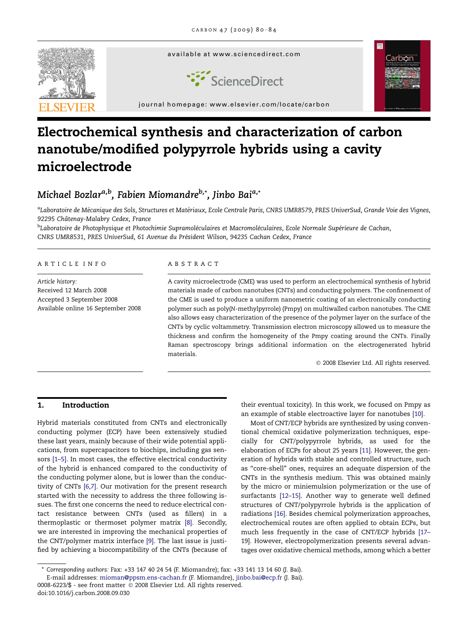

# Electrochemical synthesis and characterization of carbon nanotube/modified polypyrrole hybrids using a cavity microelectrode

# Michael Bozlar<sup>a,b</sup>, Fabien Miomandre<sup>b,</sup>\*, Jinbo Bai<sup>a,</sup>\*

<sup>a</sup>Laboratoire de Mécanique des Sols, Structures et Matériaux, Ecole Centrale Paris, CNRS UMR8579, PRES UniverSud, Grande Voie des Vignes, 92295 Châtenay-Malabry Cedex, France

<sup>b</sup>Laboratoire de Photophysique et Photochimie Supramoléculaires et Macromoléculaires, Ecole Normale Supérieure de Cachan, CNRS UMR8531, PRES UniverSud, 61 Avenue du Président Wilson, 94235 Cachan Cedex, France

#### ARTICLE INFO

Article history: Received 12 March 2008 Accepted 3 September 2008 Available online 16 September 2008

#### ABSTRACT

A cavity microelectrode (CME) was used to perform an electrochemical synthesis of hybrid materials made of carbon nanotubes (CNTs) and conducting polymers. The confinement of the CME is used to produce a uniform nanometric coating of an electronically conducting polymer such as poly(N-methylpyrrole) (Pmpy) on multiwalled carbon nanotubes. The CME also allows easy characterization of the presence of the polymer layer on the surface of the CNTs by cyclic voltammetry. Transmission electron microscopy allowed us to measure the thickness and confirm the homogeneity of the Pmpy coating around the CNTs. Finally Raman spectroscopy brings additional information on the electrogenerated hybrid materials.

© 2008 Elsevier Ltd. All rights reserved.

# 1. Introduction

Hybrid materials constituted from CNTs and electronically conducting polymer (ECP) have been extensively studied these last years, mainly because of their wide potential applications, from supercapacitors to biochips, including gas sensors [\[1–5\].](#page-4-0) In most cases, the effective electrical conductivity of the hybrid is enhanced compared to the conductivity of the conducting polymer alone, but is lower than the conductivity of CNTs [\[6,7\]](#page-4-0). Our motivation for the present research started with the necessity to address the three following issues. The first one concerns the need to reduce electrical contact resistance between CNTs (used as fillers) in a thermoplastic or thermoset polymer matrix [\[8\]](#page-4-0). Secondly, we are interested in improving the mechanical properties of the CNT/polymer matrix interface [\[9\]](#page-4-0). The last issue is justified by achieving a biocompatibility of the CNTs (because of their eventual toxicity). In this work, we focused on Pmpy as an example of stable electroactive layer for nanotubes [\[10\]](#page-4-0).

Most of CNT/ECP hybrids are synthesized by using conventional chemical oxidative polymerization techniques, especially for CNT/polypyrrole hybrids, as used for the elaboration of ECPs for about 25 years [\[11\]](#page-4-0). However, the generation of hybrids with stable and controlled structure, such as ''core-shell'' ones, requires an adequate dispersion of the CNTs in the synthesis medium. This was obtained mainly by the micro or miniemulsion polymerization or the use of surfactants [\[12–15\]](#page-4-0). Another way to generate well defined structures of CNT/polypyrrole hybrids is the application of radiations [\[16\]](#page-4-0). Besides chemical polymerization approaches, electrochemical routes are often applied to obtain ECPs, but much less frequently in the case of CNT/ECP hybrids [\[17–](#page-4-0) [19\].](#page-4-0) However, electropolymerization presents several advantages over oxidative chemical methods, among which a better

<sup>\*</sup> Corresponding authors: Fax: +33 147 40 24 54 (F. Miomandre); fax: +33 141 13 14 60 (J. Bai).

E-mail addresses: [mioman@ppsm.ens-cachan.fr](mailto:mioman@ppsm.ens-cachan.fr) (F. Miomandre), [jinbo.bai@ecp.fr](mailto:jinbo.bai@ecp.fr) (J. Bai).

<sup>0008-6223/\$ -</sup> see front matter © 2008 Elsevier Ltd. All rights reserved. doi:10.1016/j.carbon.2008.09.030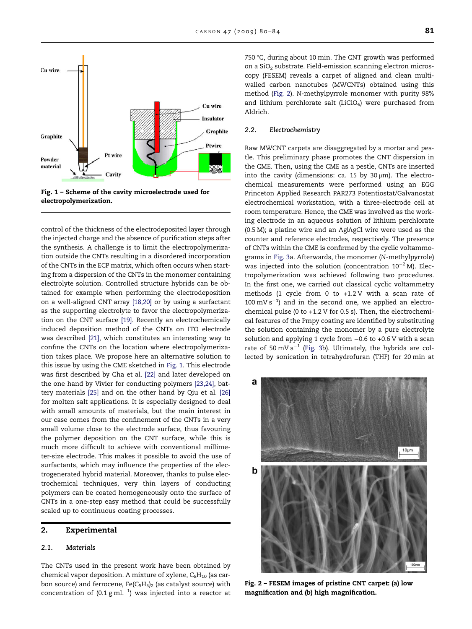

Fig. 1 – Scheme of the cavity microelectrode used for electropolymerization.

control of the thickness of the electrodeposited layer through the injected charge and the absence of purification steps after the synthesis. A challenge is to limit the electropolymerization outside the CNTs resulting in a disordered incorporation of the CNTs in the ECP matrix, which often occurs when starting from a dispersion of the CNTs in the monomer containing electrolyte solution. Controlled structure hybrids can be obtained for example when performing the electrodeposition on a well-aligned CNT array [\[18,20\]](#page-4-0) or by using a surfactant as the supporting electrolyte to favor the electropolymerization on the CNT surface [\[19\].](#page-4-0) Recently an electrochemically induced deposition method of the CNTs on ITO electrode was described [\[21\]](#page-4-0), which constitutes an interesting way to confine the CNTs on the location where electropolymerization takes place. We propose here an alternative solution to this issue by using the CME sketched in Fig. 1. This electrode was first described by Cha et al. [\[22\]](#page-4-0) and later developed on the one hand by Vivier for conducting polymers [\[23,24\]](#page-4-0), battery materials [\[25\]](#page-4-0) and on the other hand by Qiu et al. [\[26\]](#page-4-0) for molten salt applications. It is especially designed to deal with small amounts of materials, but the main interest in our case comes from the confinement of the CNTs in a very small volume close to the electrode surface, thus favouring the polymer deposition on the CNT surface, while this is much more difficult to achieve with conventional millimeter-size electrode. This makes it possible to avoid the use of surfactants, which may influence the properties of the electrogenerated hybrid material. Moreover, thanks to pulse electrochemical techniques, very thin layers of conducting polymers can be coated homogeneously onto the surface of CNTs in a one-step easy method that could be successfully scaled up to continuous coating processes.

# 2. Experimental

#### 2.1. Materials

The CNTs used in the present work have been obtained by chemical vapor deposition. A mixture of xylene,  $C_8H_{10}$  (as carbon source) and ferrocene,  $Fe(C_5H_5)_2$  (as catalyst source) with concentration of (0.1  $\rm g\,m$ L $^{-1})$  was injected into a reactor at

750  $°C$ , during about 10 min. The CNT growth was performed on a  $SiO<sub>2</sub>$  substrate. Field-emission scanning electron microscopy (FESEM) reveals a carpet of aligned and clean multiwalled carbon nanotubes (MWCNTs) obtained using this method (Fig. 2). N-methylpyrrole monomer with purity 98% and lithium perchlorate salt (LiClO<sub>4</sub>) were purchased from Aldrich.

# 2.2. Electrochemistry

Raw MWCNT carpets are disaggregated by a mortar and pestle. This preliminary phase promotes the CNT dispersion in the CME. Then, using the CME as a pestle, CNTs are inserted into the cavity (dimensions: ca. 15 by 30  $\mu$ m). The electrochemical measurements were performed using an EGG Princeton Applied Research PAR273 Potentiostat/Galvanostat electrochemical workstation, with a three-electrode cell at room temperature. Hence, the CME was involved as the working electrode in an aqueous solution of lithium perchlorate (0.5 M); a platine wire and an Ag|AgCl wire were used as the counter and reference electrodes, respectively. The presence of CNTs within the CME is confirmed by the cyclic voltammograms in [Fig. 3a](#page-2-0). Afterwards, the monomer (N-methylpyrrole) was injected into the solution (concentration  $10^{-2}$  M). Electropolymerization was achieved following two procedures. In the first one, we carried out classical cyclic voltammetry methods (1 cycle from 0 to +1.2 V with a scan rate of 100 mV  $s^{-1}$ ) and in the second one, we applied an electrochemical pulse (0 to +1.2 V for 0.5 s). Then, the electrochemical features of the Pmpy coating are identified by substituting the solution containing the monomer by a pure electrolyte solution and applying 1 cycle from -0.6 to +0.6 V with a scan rate of 50 mV s $^{-1}$  ([Fig. 3b](#page-2-0)). Ultimately, the hybrids are collected by sonication in tetrahydrofuran (THF) for 20 min at



Fig. 2 – FESEM images of pristine CNT carpet: (a) low magnification and (b) high magnification.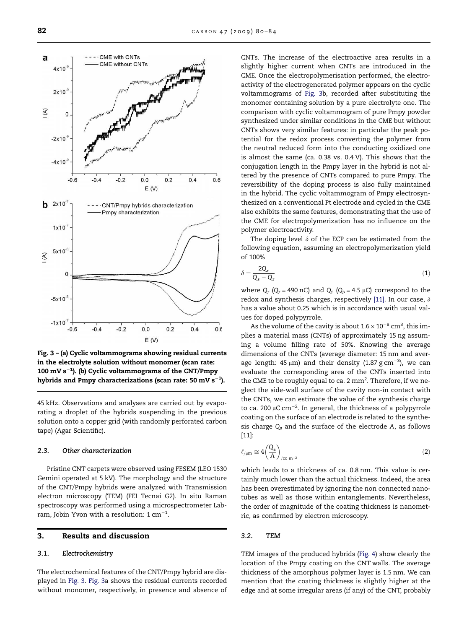<span id="page-2-0"></span>

Fig. 3 – (a) Cyclic voltammograms showing residual currents in the electrolyte solution without monomer (scan rate: 100 mV s<sup>-1</sup>). (b) Cyclic voltammograms of the CNT/Pmpy hybrids and Pmpy characterizations (scan rate: 50 mV s $^{-1}$ ).

45 kHz. Observations and analyses are carried out by evaporating a droplet of the hybrids suspending in the previous solution onto a copper grid (with randomly perforated carbon tape) (Agar Scientific).

#### 2.3. Other characterization

Pristine CNT carpets were observed using FESEM (LEO 1530 Gemini operated at 5 kV). The morphology and the structure of the CNT/Pmpy hybrids were analyzed with Transmission electron microscopy (TEM) (FEI Tecnai G2). In situ Raman spectroscopy was performed using a microspectrometer Labram, Jobin Yvon with a resolution: 1  $\rm cm^{-1}.$ 

# 3. Results and discussion

#### 3.1. Electrochemistry

The electrochemical features of the CNT/Pmpy hybrid are displayed in Fig. 3. Fig. 3a shows the residual currents recorded without monomer, respectively, in presence and absence of CNTs. The increase of the electroactive area results in a slightly higher current when CNTs are introduced in the CME. Once the electropolymerisation performed, the electroactivity of the electrogenerated polymer appears on the cyclic voltammograms of Fig. 3b, recorded after substituting the monomer containing solution by a pure electrolyte one. The comparison with cyclic voltammogram of pure Pmpy powder synthesized under similar conditions in the CME but without CNTs shows very similar features: in particular the peak potential for the redox process converting the polymer from the neutral reduced form into the conducting oxidized one is almost the same (ca. 0.38 vs. 0.4 V). This shows that the conjugation length in the Pmpy layer in the hybrid is not altered by the presence of CNTs compared to pure Pmpy. The reversibility of the doping process is also fully maintained in the hybrid. The cyclic voltammogram of Pmpy electrosynthesized on a conventional Pt electrode and cycled in the CME also exhibits the same features, demonstrating that the use of the CME for electropolymerization has no influence on the polymer electroactivity.

The doping level  $\delta$  of the ECP can be estimated from the following equation, assuming an electropolymerization yield of 100%

$$
\delta = \frac{2Q_r}{Q_s - Q_r} \tag{1}
$$

where  $Q_r$  ( $Q_r$  = 490 nC) and  $Q_s$  ( $Q_s$  = 4.5 µC) correspond to the redox and synthesis charges, respectively [\[11\]](#page-4-0). In our case,  $\delta$ has a value about 0.25 which is in accordance with usual values for doped polypyrrole.

As the volume of the cavity is about  $1.6 \times 10^{-8}$  cm<sup>3</sup>, this implies a material mass (CNTs) of approximately 15 ng assuming a volume filling rate of 50%. Knowing the average dimensions of the CNTs (average diameter: 15 nm and average length: 45  $\mu$ m) and their density (1.87 g cm<sup>-3</sup>), we can evaluate the corresponding area of the CNTs inserted into the CME to be roughly equal to ca.  $2 \text{ mm}^2$ . Therefore, if we neglect the side-wall surface of the cavity non-in contact with the CNTs, we can estimate the value of the synthesis charge to ca. 200  $\mu$ C cm<sup>-2</sup>. In general, the thickness of a polypyrrole coating on the surface of an electrode is related to the synthesis charge  $Q_s$  and the surface of the electrode A, as follows [\[11\]](#page-4-0):

$$
\ell_{\text{num}} \cong 4 \left( \frac{Q_s}{A} \right)_{\text{/cc m}^{-2}} \tag{2}
$$

which leads to a thickness of ca. 0.8 nm. This value is certainly much lower than the actual thickness. Indeed, the area has been overestimated by ignoring the non connected nanotubes as well as those within entanglements. Nevertheless, the order of magnitude of the coating thickness is nanometric, as confirmed by electron microscopy.

#### 3.2. TEM

TEM images of the produced hybrids [\(Fig. 4\)](#page-3-0) show clearly the location of the Pmpy coating on the CNT walls. The average thickness of the amorphous polymer layer is 1.5 nm. We can mention that the coating thickness is slightly higher at the edge and at some irregular areas (if any) of the CNT, probably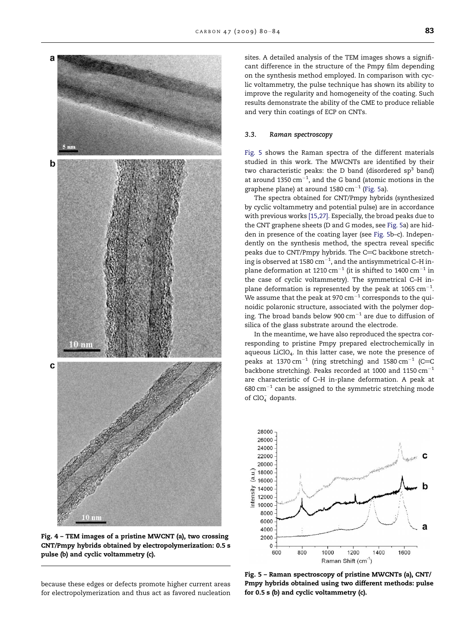<span id="page-3-0"></span>

Fig. 4 – TEM images of a pristine MWCNT (a), two crossing CNT/Pmpy hybrids obtained by electropolymerization: 0.5 s pulse (b) and cyclic voltammetry (c).

because these edges or defects promote higher current areas for electropolymerization and thus act as favored nucleation

sites. A detailed analysis of the TEM images shows a significant difference in the structure of the Pmpy film depending on the synthesis method employed. In comparison with cyclic voltammetry, the pulse technique has shown its ability to improve the regularity and homogeneity of the coating. Such results demonstrate the ability of the CME to produce reliable and very thin coatings of ECP on CNTs.

#### 3.3. Raman spectroscopy

Fig. 5 shows the Raman spectra of the different materials studied in this work. The MWCNTs are identified by their two characteristic peaks: the D band (disordered  $sp<sup>3</sup>$  band) at around 1350  $cm^{-1}$ , and the G band (atomic motions in the graphene plane) at around 1580 cm $^{-1}$  (Fig. 5a).

The spectra obtained for CNT/Pmpy hybrids (synthesized by cyclic voltammetry and potential pulse) are in accordance with previous works [\[15,27\]](#page-4-0). Especially, the broad peaks due to the CNT graphene sheets (D and G modes, see Fig. 5a) are hidden in presence of the coating layer (see Fig. 5b–c). Independently on the synthesis method, the spectra reveal specific peaks due to CNT/Pmpy hybrids. The C=C backbone stretching is observed at 1580 cm $^{-1}$ , and the antisymmetrical C–H inplane deformation at 1210 cm $^{-1}$  (it is shifted to 1400 cm $^{-1}$  in the case of cyclic voltammetry). The symmetrical C–H inplane deformation is represented by the peak at 1065  $\rm cm^{-1}$ . We assume that the peak at 970  $\rm cm^{-1}$  corresponds to the quinoidic polaronic structure, associated with the polymer doping. The broad bands below 900 cm $^{-1}$  are due to diffusion of silica of the glass substrate around the electrode.

In the meantime, we have also reproduced the spectra corresponding to pristine Pmpy prepared electrochemically in aqueous LiClO<sub>4</sub>. In this latter case, we note the presence of peaks at 1370 cm $^{-1}$  (ring stretching) and 1580 cm $^{-1}$  (C=C backbone stretching). Peaks recorded at 1000 and 1150  $\rm cm^{-1}$ are characteristic of C–H in-plane deformation. A peak at 680  $\rm cm^{-1}$  can be assigned to the symmetric stretching mode of  $ClO_4^-$  dopants.



Fig. 5 – Raman spectroscopy of pristine MWCNTs (a), CNT/ Pmpy hybrids obtained using two different methods: pulse for 0.5 s (b) and cyclic voltammetry (c).